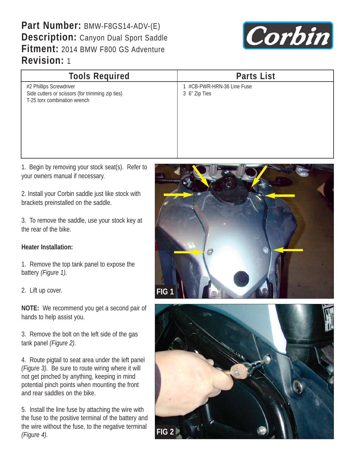**Part Number:** BMW-F8GS14-ADV-(E) **Description:** Canyon Dual Sport Saddle **Fitment:** 2014 BMW F800 GS Adventure **Revision:** 1



| <b>Tools Required</b>                                                                                       | <b>Parts List</b>                           |
|-------------------------------------------------------------------------------------------------------------|---------------------------------------------|
| #2 Phillips Screwdriver<br>Side cutters or scissors (for trimming zip ties)<br>T-25 torx combination wrench | 1 #CB-PWR-HRN-36 Line Fuse<br>3 6" Zip Ties |

1. Begin by removing your stock seat(s). Refer to your owners manual if necessary.

2. Install your Corbin saddle just like stock with brackets preinstalled on the saddle.

3. To remove the saddle, use your stock key at the rear of the bike.

## **Heater Installation:**

1. Remove the top tank panel to expose the battery *(Figure 1).*

2. Lift up cover.

**NOTE:** We recommend you get a second pair of hands to help assist you.

3. Remove the bolt on the left side of the gas tank panel *(Figure 2).*

4. Route pigtail to seat area under the left panel *(Figure 3).* Be sure to route wiring where it will not get pinched by anything, keeping in mind potential pinch points when mounting the front and rear saddles on the bike.

5. Install the line fuse by attaching the wire with the fuse to the positive terminal of the battery and the wire without the fuse, to the negative terminal *(Figure 4).*